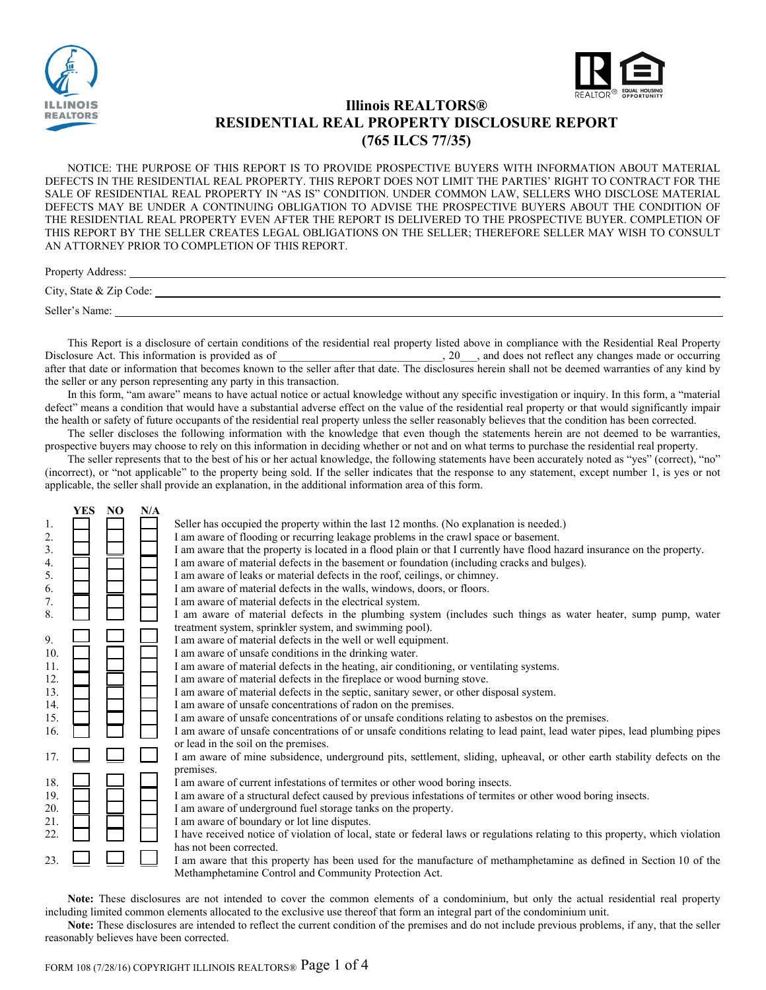



## **Illinois REALTORS® RESIDENTIAL REAL PROPERTY DISCLOSURE REPORT (765 ILCS 77/35)**

NOTICE: THE PURPOSE OF THIS REPORT IS TO PROVIDE PROSPECTIVE BUYERS WITH INFORMATION ABOUT MATERIAL DEFECTS IN THE RESIDENTIAL REAL PROPERTY. THIS REPORT DOES NOT LIMIT THE PARTIES' RIGHT TO CONTRACT FOR THE SALE OF RESIDENTIAL REAL PROPERTY IN "AS IS" CONDITION. UNDER COMMON LAW, SELLERS WHO DISCLOSE MATERIAL DEFECTS MAY BE UNDER A CONTINUING OBLIGATION TO ADVISE THE PROSPECTIVE BUYERS ABOUT THE CONDITION OF THE RESIDENTIAL REAL PROPERTY EVEN AFTER THE REPORT IS DELIVERED TO THE PROSPECTIVE BUYER. COMPLETION OF THIS REPORT BY THE SELLER CREATES LEGAL OBLIGATIONS ON THE SELLER; THEREFORE SELLER MAY WISH TO CONSULT AN ATTORNEY PRIOR TO COMPLETION OF THIS REPORT.

| Property Address:       |  |
|-------------------------|--|
| City, State & Zip Code: |  |
| Seller's Name:          |  |

This Report is a disclosure of certain conditions of the residential real property listed above in compliance with the Residential Real Property Disclosure Act. This information is provided as of  $\qquad \qquad$ , 20, and does not reflect any changes made or occurring after that date or information that becomes known to the seller after that date. The disclosures herein shall not be deemed warranties of any kind by the seller or any person representing any party in this transaction.

In this form, "am aware" means to have actual notice or actual knowledge without any specific investigation or inquiry. In this form, a "material defect" means a condition that would have a substantial adverse effect on the value of the residential real property or that would significantly impair the health or safety of future occupants of the residential real property unless the seller reasonably believes that the condition has been corrected.

The seller discloses the following information with the knowledge that even though the statements herein are not deemed to be warranties, prospective buyers may choose to rely on this information in deciding whether or not and on what terms to purchase the residential real property.

The seller represents that to the best of his or her actual knowledge, the following statements have been accurately noted as "yes" (correct), "no" (incorrect), or "not applicable" to the property being sold. If the seller indicates that the response to any statement, except number 1, is yes or not applicable, the seller shall provide an explanation, in the additional information area of this form.

|                | <b>YES</b> | NO. | N/A |                                                                                                                                                                   |
|----------------|------------|-----|-----|-------------------------------------------------------------------------------------------------------------------------------------------------------------------|
| 1.             |            |     |     | Seller has occupied the property within the last 12 months. (No explanation is needed.)                                                                           |
| $\mathbf{2}$ . |            |     |     | I am aware of flooding or recurring leakage problems in the crawl space or basement.                                                                              |
| 3.             |            |     |     | I am aware that the property is located in a flood plain or that I currently have flood hazard insurance on the property.                                         |
| 4.             |            |     |     | I am aware of material defects in the basement or foundation (including cracks and bulges).                                                                       |
| 5.             |            |     |     | I am aware of leaks or material defects in the roof, ceilings, or chimney.                                                                                        |
| 6.             |            |     |     | I am aware of material defects in the walls, windows, doors, or floors.                                                                                           |
| 7.             |            |     |     | I am aware of material defects in the electrical system.                                                                                                          |
| 8.             |            |     |     | I am aware of material defects in the plumbing system (includes such things as water heater, sump pump, water                                                     |
|                |            |     |     | treatment system, sprinkler system, and swimming pool).                                                                                                           |
| 9.             |            |     |     | I am aware of material defects in the well or well equipment.                                                                                                     |
| 10.            |            |     |     | I am aware of unsafe conditions in the drinking water.                                                                                                            |
| 11.            |            |     |     | I am aware of material defects in the heating, air conditioning, or ventilating systems.                                                                          |
|                |            |     |     |                                                                                                                                                                   |
| 12.            |            |     |     | I am aware of material defects in the fireplace or wood burning stove.                                                                                            |
| 13.            |            |     |     | I am aware of material defects in the septic, sanitary sewer, or other disposal system.                                                                           |
| 14.            |            |     |     | I am aware of unsafe concentrations of radon on the premises.                                                                                                     |
| 15.            |            |     |     | I am aware of unsafe concentrations of or unsafe conditions relating to asbestos on the premises.                                                                 |
| 16.            |            |     |     | I am aware of unsafe concentrations of or unsafe conditions relating to lead paint, lead water pipes, lead plumbing pipes<br>or lead in the soil on the premises. |
| 17.            |            |     |     | I am aware of mine subsidence, underground pits, settlement, sliding, upheaval, or other earth stability defects on the                                           |
|                |            |     |     | premises.                                                                                                                                                         |
| 18.            |            |     |     | I am aware of current infestations of termites or other wood boring insects.                                                                                      |
| 19.            |            |     |     | I am aware of a structural defect caused by previous infestations of termites or other wood boring insects.                                                       |
| 20.            |            |     |     | I am aware of underground fuel storage tanks on the property.                                                                                                     |
| 21.            |            |     |     | I am aware of boundary or lot line disputes.                                                                                                                      |
| 22.            |            |     |     | I have received notice of violation of local, state or federal laws or regulations relating to this property, which violation                                     |
|                |            |     |     | has not been corrected.                                                                                                                                           |
| 23             |            |     |     | I am aware that this property has been used for the manufacture of methamphetamine as defined in Section 10 of the                                                |
|                |            |     |     | Methamphetamine Control and Community Protection Act.                                                                                                             |

Note: These disclosures are not intended to cover the common elements of a condominium, but only the actual residential real property including limited common elements allocated to the exclusive use thereof that form an integral part of the condominium unit.

**Note:** These disclosures are intended to reflect the current condition of the premises and do not include previous problems, if any, that the seller reasonably believes have been corrected.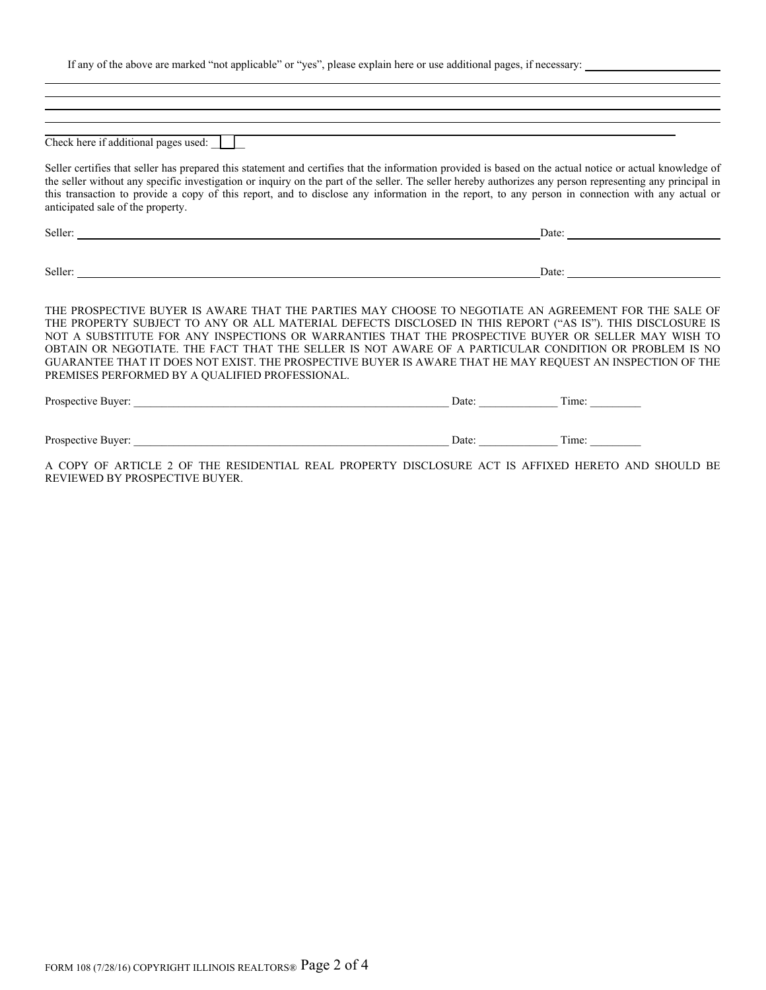If any of the above are marked "not applicable" or "yes", please explain here or use additional pages, if necessary:

Check here if additional pages used:

Seller certifies that seller has prepared this statement and certifies that the information provided is based on the actual notice or actual knowledge of the seller without any specific investigation or inquiry on the part of the seller. The seller hereby authorizes any person representing any principal in this transaction to provide a copy of this report, and to disclose any information in the report, to any person in connection with any actual or anticipated sale of the property.

| Seller: | Date: |
|---------|-------|
|         |       |
|         |       |
| Seller: | Date: |

THE PROSPECTIVE BUYER IS AWARE THAT THE PARTIES MAY CHOOSE TO NEGOTIATE AN AGREEMENT FOR THE SALE OF THE PROPERTY SUBJECT TO ANY OR ALL MATERIAL DEFECTS DISCLOSED IN THIS REPORT ("AS IS"). THIS DISCLOSURE IS NOT A SUBSTITUTE FOR ANY INSPECTIONS OR WARRANTIES THAT THE PROSPECTIVE BUYER OR SELLER MAY WISH TO OBTAIN OR NEGOTIATE. THE FACT THAT THE SELLER IS NOT AWARE OF A PARTICULAR CONDITION OR PROBLEM IS NO GUARANTEE THAT IT DOES NOT EXIST. THE PROSPECTIVE BUYER IS AWARE THAT HE MAY REQUEST AN INSPECTION OF THE PREMISES PERFORMED BY A QUALIFIED PROFESSIONAL.

| Prospective<br>Buver:<br>$\sim$ $\sim$ $\sim$ $\sim$ $\sim$ $\sim$ $\sim$ | Date: | r jme.<br>- ----- |  |
|---------------------------------------------------------------------------|-------|-------------------|--|
|                                                                           |       |                   |  |
|                                                                           |       |                   |  |

Prospective Buyer: \_\_\_\_\_\_\_\_\_\_\_\_\_\_\_\_\_\_\_\_\_\_\_\_\_\_\_\_\_\_\_\_\_\_\_\_\_\_\_\_\_\_\_\_\_\_\_\_\_\_\_\_\_\_\_\_ Date: \_\_\_\_\_\_\_\_\_\_\_\_\_\_ Time: \_\_\_\_\_\_\_\_\_

A COPY OF ARTICLE 2 OF THE RESIDENTIAL REAL PROPERTY DISCLOSURE ACT IS AFFIXED HERETO AND SHOULD BE REVIEWED BY PROSPECTIVE BUYER.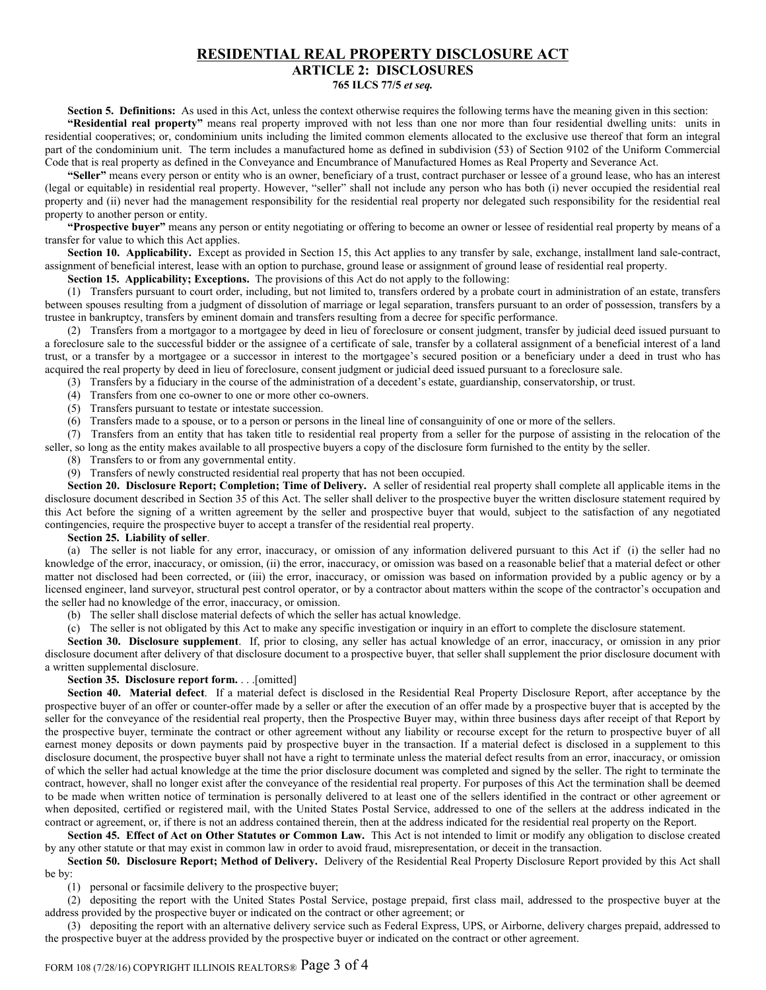## **RESIDENTIAL REAL PROPERTY DISCLOSURE ACT ARTICLE 2: DISCLOSURES 765 ILCS 77/5** *et seq.*

**Section 5. Definitions:** As used in this Act, unless the context otherwise requires the following terms have the meaning given in this section: "Residential real property" means real property improved with not less than one nor more than four residential dwelling units: units in residential cooperatives; or, condominium units including the limited common elements allocated to the exclusive use thereof that form an integral part of the condominium unit. The term includes a manufactured home as defined in subdivision (53) of Section 9102 of the Uniform Commercial Code that is real property as defined in the Conveyance and Encumbrance of Manufactured Homes as Real Property and Severance Act.

**"Seller"** means every person or entity who is an owner, beneficiary of a trust, contract purchaser or lessee of a ground lease, who has an interest (legal or equitable) in residential real property. However, "seller" shall not include any person who has both (i) never occupied the residential real property and (ii) never had the management responsibility for the residential real property nor delegated such responsibility for the residential real property to another person or entity.

**"Prospective buyer"** means any person or entity negotiating or offering to become an owner or lessee of residential real property by means of a transfer for value to which this Act applies.

Section 10. Applicability. Except as provided in Section 15, this Act applies to any transfer by sale, exchange, installment land sale-contract, assignment of beneficial interest, lease with an option to purchase, ground lease or assignment of ground lease of residential real property.

**Section 15. Applicability; Exceptions.** The provisions of this Act do not apply to the following:

(1) Transfers pursuant to court order, including, but not limited to, transfers ordered by a probate court in administration of an estate, transfers between spouses resulting from a judgment of dissolution of marriage or legal separation, transfers pursuant to an order of possession, transfers by a trustee in bankruptcy, transfers by eminent domain and transfers resulting from a decree for specific performance.

(2) Transfers from a mortgagor to a mortgagee by deed in lieu of foreclosure or consent judgment, transfer by judicial deed issued pursuant to a foreclosure sale to the successful bidder or the assignee of a certificate of sale, transfer by a collateral assignment of a beneficial interest of a land trust, or a transfer by a mortgagee or a successor in interest to the mortgagee's secured position or a beneficiary under a deed in trust who has acquired the real property by deed in lieu of foreclosure, consent judgment or judicial deed issued pursuant to a foreclosure sale.

(3) Transfers by a fiduciary in the course of the administration of a decedent's estate, guardianship, conservatorship, or trust.

- (4) Transfers from one co-owner to one or more other co-owners.
- (5) Transfers pursuant to testate or intestate succession.
- (6) Transfers made to a spouse, or to a person or persons in the lineal line of consanguinity of one or more of the sellers.

(7) Transfers from an entity that has taken title to residential real property from a seller for the purpose of assisting in the relocation of the seller, so long as the entity makes available to all prospective buyers a copy of the disclosure form furnished to the entity by the seller.

- (8) Transfers to or from any governmental entity.
- (9) Transfers of newly constructed residential real property that has not been occupied.

**Section 20. Disclosure Report; Completion; Time of Delivery.**  A seller of residential real property shall complete all applicable items in the disclosure document described in Section 35 of this Act. The seller shall deliver to the prospective buyer the written disclosure statement required by this Act before the signing of a written agreement by the seller and prospective buyer that would, subject to the satisfaction of any negotiated contingencies, require the prospective buyer to accept a transfer of the residential real property.

## **Section 25. Liability of seller**.

(a) The seller is not liable for any error, inaccuracy, or omission of any information delivered pursuant to this Act if (i) the seller had no knowledge of the error, inaccuracy, or omission, (ii) the error, inaccuracy, or omission was based on a reasonable belief that a material defect or other matter not disclosed had been corrected, or (iii) the error, inaccuracy, or omission was based on information provided by a public agency or by a licensed engineer, land surveyor, structural pest control operator, or by a contractor about matters within the scope of the contractor's occupation and the seller had no knowledge of the error, inaccuracy, or omission.

(b) The seller shall disclose material defects of which the seller has actual knowledge.

(c) The seller is not obligated by this Act to make any specific investigation or inquiry in an effort to complete the disclosure statement.

Section 30. Disclosure supplement. If, prior to closing, any seller has actual knowledge of an error, inaccuracy, or omission in any prior disclosure document after delivery of that disclosure document to a prospective buyer, that seller shall supplement the prior disclosure document with a written supplemental disclosure.

## **Section 35. Disclosure report form.** . . .[omitted]

**Section 40. Material defect**. If a material defect is disclosed in the Residential Real Property Disclosure Report, after acceptance by the prospective buyer of an offer or counter-offer made by a seller or after the execution of an offer made by a prospective buyer that is accepted by the seller for the conveyance of the residential real property, then the Prospective Buyer may, within three business days after receipt of that Report by the prospective buyer, terminate the contract or other agreement without any liability or recourse except for the return to prospective buyer of all earnest money deposits or down payments paid by prospective buyer in the transaction. If a material defect is disclosed in a supplement to this disclosure document, the prospective buyer shall not have a right to terminate unless the material defect results from an error, inaccuracy, or omission of which the seller had actual knowledge at the time the prior disclosure document was completed and signed by the seller. The right to terminate the contract, however, shall no longer exist after the conveyance of the residential real property. For purposes of this Act the termination shall be deemed to be made when written notice of termination is personally delivered to at least one of the sellers identified in the contract or other agreement or when deposited, certified or registered mail, with the United States Postal Service, addressed to one of the sellers at the address indicated in the contract or agreement, or, if there is not an address contained therein, then at the address indicated for the residential real property on the Report.

**Section 45. Effect of Act on Other Statutes or Common Law.** This Act is not intended to limit or modify any obligation to disclose created by any other statute or that may exist in common law in order to avoid fraud, misrepresentation, or deceit in the transaction.

**Section 50. Disclosure Report; Method of Delivery.**  Delivery of the Residential Real Property Disclosure Report provided by this Act shall be by:

(1) personal or facsimile delivery to the prospective buyer;

(2) depositing the report with the United States Postal Service, postage prepaid, first class mail, addressed to the prospective buyer at the address provided by the prospective buyer or indicated on the contract or other agreement; or

(3) depositing the report with an alternative delivery service such as Federal Express, UPS, or Airborne, delivery charges prepaid, addressed to the prospective buyer at the address provided by the prospective buyer or indicated on the contract or other agreement.